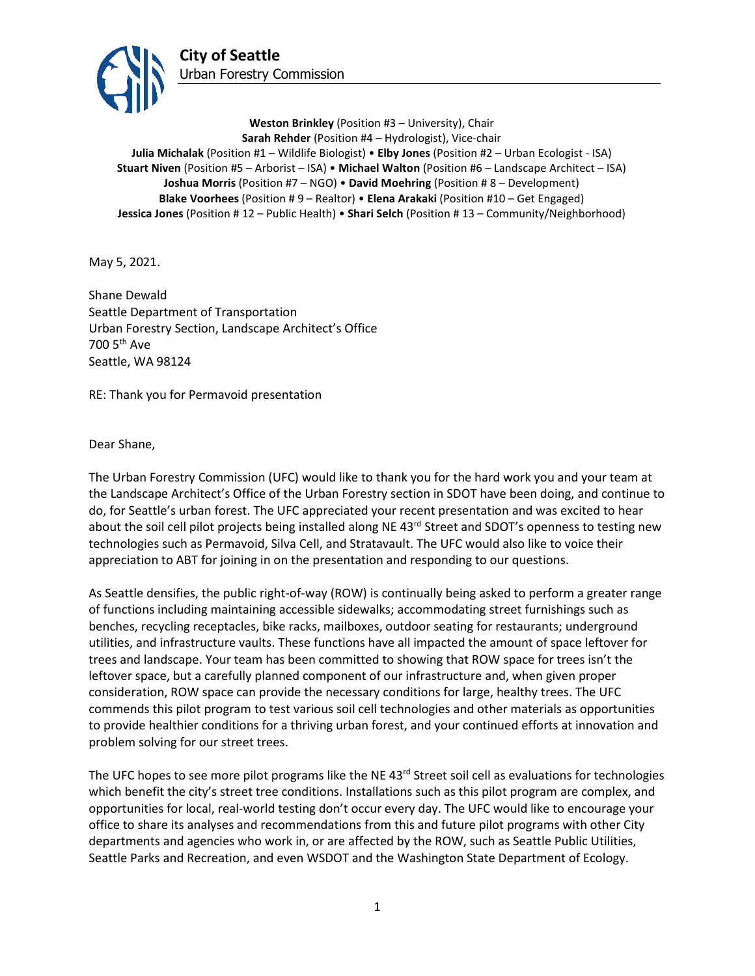

**Weston Brinkley** (Position #3 – University), Chair **Sarah Rehder** (Position #4 – Hydrologist), Vice-chair **Julia Michalak** (Position #1 – Wildlife Biologist) • **Elby Jones** (Position #2 – Urban Ecologist - ISA) **Stuart Niven** (Position #5 – Arborist – ISA) • **Michael Walton** (Position #6 – Landscape Architect – ISA) **Joshua Morris** (Position #7 – NGO) • **David Moehring** (Position # 8 – Development) **Blake Voorhees** (Position # 9 – Realtor) • **Elena Arakaki** (Position #10 – Get Engaged) **Jessica Jones** (Position # 12 – Public Health) • **Shari Selch** (Position # 13 – Community/Neighborhood)

May 5, 2021.

Shane Dewald Seattle Department of Transportation Urban Forestry Section, Landscape Architect's Office 700 5th Ave Seattle, WA 98124

RE: Thank you for Permavoid presentation

Dear Shane,

The Urban Forestry Commission (UFC) would like to thank you for the hard work you and your team at the Landscape Architect's Office of the Urban Forestry section in SDOT have been doing, and continue to do, for Seattle's urban forest. The UFC appreciated your recent presentation and was excited to hear about the soil cell pilot projects being installed along NE 43<sup>rd</sup> Street and SDOT's openness to testing new technologies such as Permavoid, Silva Cell, and Stratavault. The UFC would also like to voice their appreciation to ABT for joining in on the presentation and responding to our questions.

As Seattle densifies, the public right-of-way (ROW) is continually being asked to perform a greater range of functions including maintaining accessible sidewalks; accommodating street furnishings such as benches, recycling receptacles, bike racks, mailboxes, outdoor seating for restaurants; underground utilities, and infrastructure vaults. These functions have all impacted the amount of space leftover for trees and landscape. Your team has been committed to showing that ROW space for trees isn't the leftover space, but a carefully planned component of our infrastructure and, when given proper consideration, ROW space can provide the necessary conditions for large, healthy trees. The UFC commends this pilot program to test various soil cell technologies and other materials as opportunities to provide healthier conditions for a thriving urban forest, and your continued efforts at innovation and problem solving for our street trees.

The UFC hopes to see more pilot programs like the NE 43<sup>rd</sup> Street soil cell as evaluations for technologies which benefit the city's street tree conditions. Installations such as this pilot program are complex, and opportunities for local, real-world testing don't occur every day. The UFC would like to encourage your office to share its analyses and recommendations from this and future pilot programs with other City departments and agencies who work in, or are affected by the ROW, such as Seattle Public Utilities, Seattle Parks and Recreation, and even WSDOT and the Washington State Department of Ecology.